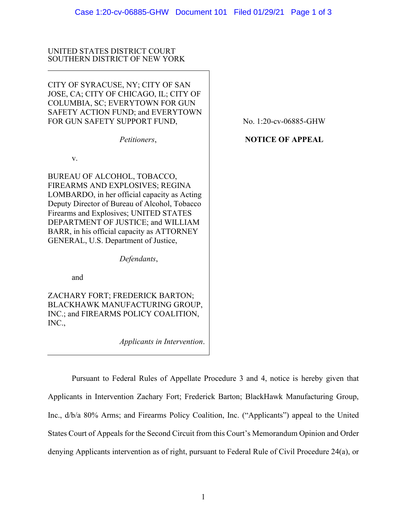## UNITED STATES DISTRICT COURT SOUTHERN DISTRICT OF NEW YORK

CITY OF SYRACUSE, NY; CITY OF SAN JOSE, CA; CITY OF CHICAGO, IL; CITY OF COLUMBIA, SC; EVERYTOWN FOR GUN SAFETY ACTION FUND; and EVERYTOWN FOR GUN SAFETY SUPPORT FUND,

*Petitioners*,

v.

BUREAU OF ALCOHOL, TOBACCO, FIREARMS AND EXPLOSIVES; REGINA LOMBARDO, in her official capacity as Acting Deputy Director of Bureau of Alcohol, Tobacco Firearms and Explosives; UNITED STATES DEPARTMENT OF JUSTICE; and WILLIAM BARR, in his official capacity as ATTORNEY GENERAL, U.S. Department of Justice,

*Defendants*,

and

ZACHARY FORT; FREDERICK BARTON; BLACKHAWK MANUFACTURING GROUP, INC.; and FIREARMS POLICY COALITION, INC.,

*Applicants in Intervention*.

No. 1:20-cv-06885-GHW

# **NOTICE OF APPEAL**

Pursuant to Federal Rules of Appellate Procedure 3 and 4, notice is hereby given that Applicants in Intervention Zachary Fort; Frederick Barton; BlackHawk Manufacturing Group, Inc., d/b/a 80% Arms; and Firearms Policy Coalition, Inc. ("Applicants") appeal to the United States Court of Appeals for the Second Circuit from this Court's Memorandum Opinion and Order denying Applicants intervention as of right, pursuant to Federal Rule of Civil Procedure 24(a), or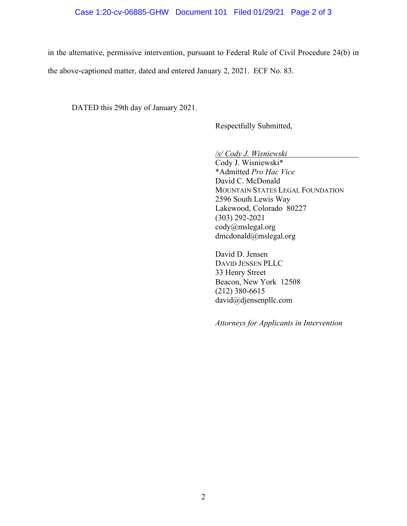#### Case 1:20-cv-06885-GHW Document 101 Filed 01/29/21 Page 2 of 3

in the alternative, permissive intervention, pursuant to Federal Rule of Civil Procedure 24(b) in

the above-captioned matter, dated and entered January 2, 2021. ECF No. 83.

DATED this 29th day of January 2021.

Respectfully Submitted,

*/s/ Cody J. Wisniewski*

Cody J. Wisniewski\* \*Admitted *Pro Hac Vice* David C. McDonald MOUNTAIN STATES LEGAL FOUNDATION 2596 South Lewis Way Lakewood, Colorado 80227 (303) 292-2021 cody@mslegal.org dmcdonald@mslegal.org

David D. Jensen DAVID JENSEN PLLC 33 Henry Street Beacon, New York 12508 (212) 380-6615 david@djensenpllc.com

*Attorneys for Applicants in Intervention*